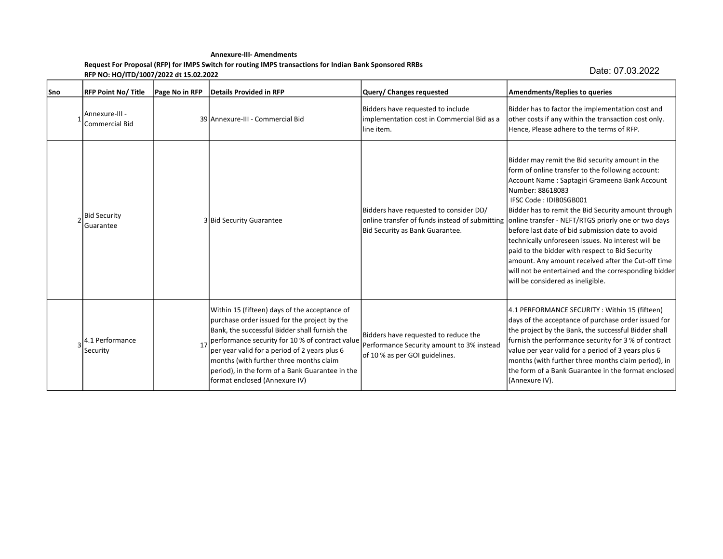## Annexure-III- Amendments Request For Proposal (RFP) for IMPS Switch for routing IMPS transactions for Indian Bank Sponsored RRBs RFP NO: HO/ITD/1007/2022 dt 15.02.2022

Date: 07.03.2022

| lSno | <b>RFP Point No/ Title</b>              | Page No in RFP | Details Provided in RFP                                                                                                                                                                                                                                                                                                                                                           | Query/ Changes requested                                                                                            | <b>Amendments/Replies to queries</b>                                                                                                                                                                                                                                                                                                                                                                                                                                                                                                                                                                                                                                             |
|------|-----------------------------------------|----------------|-----------------------------------------------------------------------------------------------------------------------------------------------------------------------------------------------------------------------------------------------------------------------------------------------------------------------------------------------------------------------------------|---------------------------------------------------------------------------------------------------------------------|----------------------------------------------------------------------------------------------------------------------------------------------------------------------------------------------------------------------------------------------------------------------------------------------------------------------------------------------------------------------------------------------------------------------------------------------------------------------------------------------------------------------------------------------------------------------------------------------------------------------------------------------------------------------------------|
|      | Annexure-III -<br><b>Commercial Bid</b> |                | 39 Annexure-III - Commercial Bid                                                                                                                                                                                                                                                                                                                                                  | Bidders have requested to include<br>implementation cost in Commercial Bid as a<br>line item.                       | Bidder has to factor the implementation cost and<br>other costs if any within the transaction cost only.<br>Hence, Please adhere to the terms of RFP.                                                                                                                                                                                                                                                                                                                                                                                                                                                                                                                            |
|      | <b>Bid Security</b><br>Guarantee        |                | 3 Bid Security Guarantee                                                                                                                                                                                                                                                                                                                                                          | Bidders have requested to consider DD/<br>Bid Security as Bank Guarantee.                                           | Bidder may remit the Bid security amount in the<br>form of online transfer to the following account:<br>Account Name: Saptagiri Grameena Bank Account<br>Number: 88618083<br>IFSC Code: IDIB0SGB001<br>Bidder has to remit the Bid Security amount through<br>online transfer of funds instead of submitting online transfer - NEFT/RTGS priorly one or two days<br>before last date of bid submission date to avoid<br>technically unforeseen issues. No interest will be<br>paid to the bidder with respect to Bid Security<br>amount. Any amount received after the Cut-off time<br>will not be entertained and the corresponding bidder<br>will be considered as ineligible. |
|      | 4.1 Performance<br>Security             | 17             | Within 15 (fifteen) days of the acceptance of<br>purchase order issued for the project by the<br>Bank, the successful Bidder shall furnish the<br>performance security for 10 % of contract value<br>per year valid for a period of 2 years plus 6<br>months (with further three months claim<br>period), in the form of a Bank Guarantee in the<br>format enclosed (Annexure IV) | Bidders have requested to reduce the<br>Performance Security amount to 3% instead<br>of 10 % as per GOI guidelines. | 4.1 PERFORMANCE SECURITY: Within 15 (fifteen)<br>days of the acceptance of purchase order issued for<br>the project by the Bank, the successful Bidder shall<br>furnish the performance security for 3 % of contract<br>value per year valid for a period of 3 years plus 6<br>months (with further three months claim period), in<br>the form of a Bank Guarantee in the format enclosed<br>(Annexure IV).                                                                                                                                                                                                                                                                      |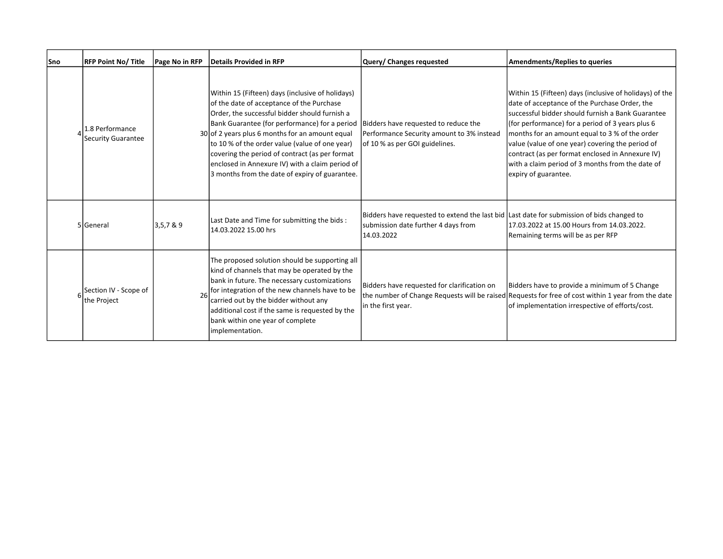| Sno | <b>RFP Point No/ Title</b>            | Page No in RFP | Details Provided in RFP                                                                                                                                                                                                                                                                                                                                                                                                                                     | Query/ Changes requested                                                                                                                       | Amendments/Replies to queries                                                                                                                                                                                                                                                                                                                                                                                                                           |
|-----|---------------------------------------|----------------|-------------------------------------------------------------------------------------------------------------------------------------------------------------------------------------------------------------------------------------------------------------------------------------------------------------------------------------------------------------------------------------------------------------------------------------------------------------|------------------------------------------------------------------------------------------------------------------------------------------------|---------------------------------------------------------------------------------------------------------------------------------------------------------------------------------------------------------------------------------------------------------------------------------------------------------------------------------------------------------------------------------------------------------------------------------------------------------|
|     | 1.8 Performance<br>Security Guarantee |                | Within 15 (Fifteen) days (inclusive of holidays)<br>of the date of acceptance of the Purchase<br>Order, the successful bidder should furnish a<br>Bank Guarantee (for performance) for a period<br>30 of 2 years plus 6 months for an amount equal<br>to 10 % of the order value (value of one year)<br>covering the period of contract (as per format<br>enclosed in Annexure IV) with a claim period of<br>3 months from the date of expiry of guarantee. | Bidders have requested to reduce the<br>Performance Security amount to 3% instead<br>of 10 % as per GOI guidelines.                            | Within 15 (Fifteen) days (inclusive of holidays) of the<br>date of acceptance of the Purchase Order, the<br>successful bidder should furnish a Bank Guarantee<br>(for performance) for a period of 3 years plus 6<br>months for an amount equal to 3 % of the order<br>value (value of one year) covering the period of<br>contract (as per format enclosed in Annexure IV)<br>with a claim period of 3 months from the date of<br>expiry of guarantee. |
|     | 5 General                             | 3,5,7 & 9      | Last Date and Time for submitting the bids :<br>14.03.2022 15.00 hrs                                                                                                                                                                                                                                                                                                                                                                                        | Bidders have requested to extend the last bid Last date for submission of bids changed to<br>submission date further 4 days from<br>14.03.2022 | 17.03.2022 at 15.00 Hours from 14.03.2022.<br>Remaining terms will be as per RFP                                                                                                                                                                                                                                                                                                                                                                        |
|     | Section IV - Scope of<br>the Project  |                | The proposed solution should be supporting all<br>kind of channels that may be operated by the<br>bank in future. The necessary customizations<br>for integration of the new channels have to be<br>carried out by the bidder without any<br>additional cost if the same is requested by the<br>bank within one year of complete<br>implementation.                                                                                                         | Bidders have requested for clarification on<br>in the first year.                                                                              | Bidders have to provide a minimum of 5 Change<br>the number of Change Requests will be raised Requests for free of cost within 1 year from the date<br>of implementation irrespective of efforts/cost.                                                                                                                                                                                                                                                  |